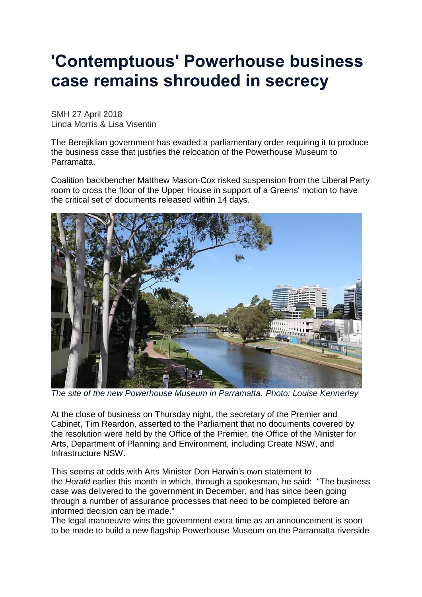## **'Contemptuous' Powerhouse business case remains shrouded in secrecy**

SMH 27 April 2018 Linda Morris & Lisa Visentin

The Berejiklian government has evaded a parliamentary order requiring it to produce the business case that justifies the relocation of the Powerhouse Museum to Parramatta.

Coalition backbencher Matthew Mason-Cox risked suspension from the Liberal Party room to cross the floor of the Upper House in support of a Greens' motion to have the critical set of documents released within 14 days.



*The site of the new Powerhouse Museum in Parramatta. Photo: Louise Kennerley*

At the close of business on Thursday night, the secretary of the Premier and Cabinet, Tim Reardon, asserted to the Parliament that no documents covered by the resolution were held by the Office of the Premier, the Office of the Minister for Arts, Department of Planning and Environment, including Create NSW, and Infrastructure NSW.

This seems at odds with Arts Minister Don Harwin's own statement to the *Herald* earlier this month in which, through a spokesman, he said: "The business case was delivered to the government in December, and has since been going through a number of assurance processes that need to be completed before an informed decision can be made."

The legal manoeuvre wins the government extra time as an announcement is soon to be made to build a new flagship Powerhouse Museum on the Parramatta riverside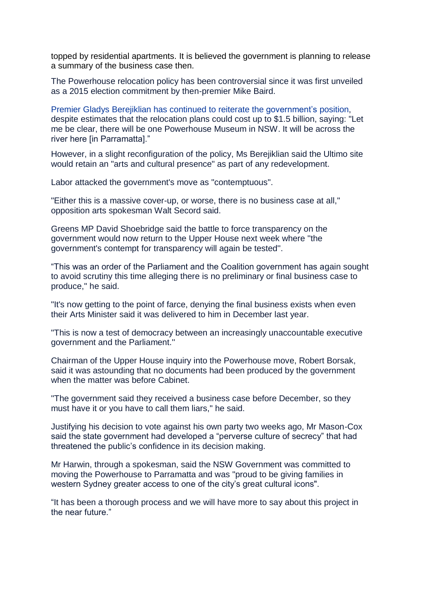topped by residential apartments. It is believed the government is planning to release a summary of the business case then.

The Powerhouse relocation policy has been controversial since it was first unveiled as a 2015 election commitment by then-premier Mike Baird.

Premier Gladys Berejiklian has continued to reiterate the [government's](https://www.smh.com.au/national/nsw/powerhouse-museum-is-officially-moving-west-but-uncertainty-over-ultimo-site-20170731-gxm6d0.html) position, despite estimates that the relocation plans could cost up to \$1.5 billion, saying: "Let me be clear, there will be one Powerhouse Museum in NSW. It will be across the river here [in Parramatta]."

However, in a slight reconfiguration of the policy, Ms Berejiklian said the Ultimo site would retain an "arts and cultural presence" as part of any redevelopment.

Labor attacked the government's move as "contemptuous".

"Either this is a massive cover-up, or worse, there is no business case at all," opposition arts spokesman Walt Secord said.

Greens MP David Shoebridge said the battle to force transparency on the government would now return to the Upper House next week where ''the government's contempt for transparency will again be tested''.

"This was an order of the Parliament and the Coalition government has again sought to avoid scrutiny this time alleging there is no preliminary or final business case to produce,'' he said.

"It's now getting to the point of farce, denying the final business exists when even their Arts Minister said it was delivered to him in December last year.

"This is now a test of democracy between an increasingly unaccountable executive government and the Parliament.''

Chairman of the Upper House inquiry into the Powerhouse move, Robert Borsak, said it was astounding that no documents had been produced by the government when the matter was before Cabinet.

''The government said they received a business case before December, so they must have it or you have to call them liars,'' he said.

Justifying his decision to vote against his own party two weeks ago, Mr Mason-Cox said the state government had developed a "perverse culture of secrecy" that had threatened the public's confidence in its decision making.

Mr Harwin, through a spokesman, said the NSW Government was committed to moving the Powerhouse to Parramatta and was "proud to be giving families in western Sydney greater access to one of the city's great cultural icons".

"It has been a thorough process and we will have more to say about this project in the near future."